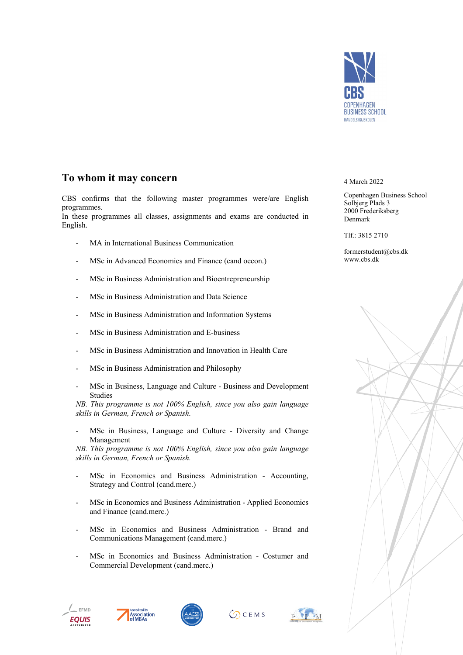

## **To whom it may concern**

CBS confirms that the following master programmes were/are English programmes.

In these programmes all classes, assignments and exams are conducted in English.

- MA in International Business Communication
- MSc in Advanced Economics and Finance (cand oecon.)
- MSc in Business Administration and Bioentrepreneurship
- MSc in Business Administration and Data Science
- MSc in Business Administration and Information Systems
- MSc in Business Administration and E-business
- MSc in Business Administration and Innovation in Health Care
- MSc in Business Administration and Philosophy
- MSc in Business, Language and Culture Business and Development Studies

*NB. This programme is not 100% English, since you also gain language skills in German, French or Spanish.*

MSc in Business, Language and Culture - Diversity and Change Management

*NB. This programme is not 100% English, since you also gain language skills in German, French or Spanish.*

- MSc in Economics and Business Administration Accounting, Strategy and Control (cand.merc.)
- MSc in Economics and Business Administration Applied Economics and Finance (cand.merc.)
- MSc in Economics and Business Administration Brand and Communications Management (cand.merc.)
- MSc in Economics and Business Administration Costumer and Commercial Development (cand.merc.)











4 March 2022

Copenhagen Business School Solbjerg Plads 3 2000 Frederiksberg Denmark

Tlf.: 3815 2710

formerstudent@cbs.dk www.cbs.dk